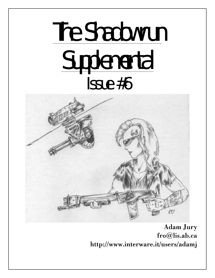# The Shadowrun Supplemental Issue #6



Adam Jury fro@lis.ab.ca http://www.interware.it/users/adamj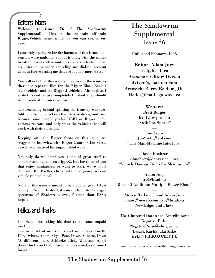# Editors Notes

2

Welcome to issues #6 of The Shadowrun Supplemental! This is the on-again off-again Rigger/Vehicle issue, which as you can see, is onagain!

I sincerely apologize for the lateness of this issue. The reasons were multiple, a lot of it doing with the winter break for most college and university students. Then, my internet provider canceling my dial-up account without fore-warning me delayed it a few more days.

You will note that this is only one piece of the issue, as there are separate files for the Rigger Black Book 1 style vehicles and the Rigger 2 vehicles. Although as I write this neither are completely finished, they should be out soon after you read this.

The reasoning behind splitting the issue up was twofold, number one to keep the file size down, and two, because some people prefer RBB1 or Rigger 2 for various reasons, and only want the vehicles that will work with their statistics.

Keeping with the Rigger focus on this issue, we snagged an interview with Rigger 2 author Jon Szeto, as well as a piece of his unpublished work.

Not only do we bring you a ton of great stuff to enhance and expand on Rigger2, but for those of you that enjoy miniatures, or want to start, we've cut a deal with Ral Partha, check out the bargain prices on vehicle related mini's!

None of this issue is meant to be a challenge to FASA or to Jon Szeto. Instead, it's meant to push the rigger spectrum of Shadowrun even further than FASA hoped.

# Hellos and Thanks

Jon Szeto, for taking his time to do some unpaid work.. : )

The usual lot of my friends and supporters: Gurth, Elle, Dvixen, Adam, Skye, Pete, Dawn, Sunette, Dawn (A different one), Ashlocke Rick, Wes and Apryl (Good luck you two!), Karen, and as usual, everyone I forgot..

# The Shadowrun Supplemental Issue # 6

Published Febuary, 1998

Editor: Adam Jury fro@lis.ab.ca Associate Editor: Dvixen dvixen@coastnet.com Artwork: Barry Beldam, JR. Hades@mail.cgo.wave.ca

# Writers:

Brett Borger bxb121@psu.edu "SwiftOne Speaks"

— Jon Szeto JonSzeto@aol.com "The Man-Machine Interface"

David Buehrer dbuehrer@denver.carl.org "Vehicle Damage Rules for Shadowrun"

—

—

Adam Jury fro@lis.ab.ca "Rigger 2 Addition: Multiple Power Plants"

> — Steven Ratkovich and Adam Jury chaos@ncweb.com fro@lis.ab.ca New Edges and Flaws

> > —

The Cluttered Datastore Contributors: Negative Pulse NegativePulse@slurpee.net Leszek Karlik, aka Mike trrkt@FRIKO.ONET.PL

I have this really horrible feeling that I forgot someone.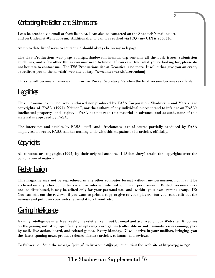# Contacting the Editor and Submissions

I can be reached via email at fro@lis.ab.ca. I can also be contacted on the ShadowRN mailing list, and on Undernet #Shadowrun. Additionally, I can be reached via ICQ - my UIN is 2350330.

An up to date list of ways to contact me should always be on my web page.

The TSS Productions web page at http://shadowrun.home.ml.org contains all the back issues, submission guidelines, and a few other things you may need to know. If you can't find what you're looking for, please do not hesitate to contact me. The TSS Productions site at Geocities is no more. It will either give you an error, or redirect you to the new(ish) web-site at http://www.interware.it/users/adamj

This site will become an american mirror for Pocket Secretary '97 when the final version becomes available.

# **Legalities**

This magazine is in no way endorsed nor produced by FASA Corporation. Shadowrun and Matrix, are copyrights of FASA (1997) Neither I, nor the authors of any individual pieces intend to infringe on FASA's intellectual property and rights. FASA has not read this material in advance, and as such, none of this material is approved by FASA.

The interviews and articles by FASA staff and freelancers are of course partially produced by FASA employees, however, FASA still has nothing to do with this magazine or its articles, officially.

# Copyrights

All contents are copyright (1997) by their original authors. I (Adam Jury) retain the copyrights over the compilation of material.

# Redistribution

This magazine may not be reproduced in any other computer format without my permission, nor may it be archived on any other computer system or internet site without my permission. Edited versions may not be distributed, it may be edited only for your personal use and within your own gaming group. IE: You can edit out the reviews if you want to print a copy to give to your players, but you can't edit out the reviews and put it on your web site, send it to a friend, etc.

# **Gaming Intelligence**

Gaming Intelligence is a free weekly newsletter sent out by email and archived on our Web site. It focuses on the gaming industry, specifically roleplaying, card games (collectible or not), miniatures/wargaming, play by mail, live-action, board, and related games. Every Monday, GI will arrive in your mailbox, bringing you the latest gaming news, product releases, feature articles, columns, and reviews.

To Subscribe: Send the message "join gi" to list-request@rpg.net or visit the web site at http://rpg.net/gi/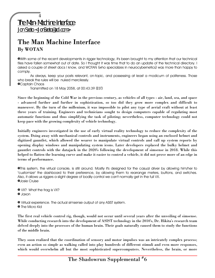# The Man Machine Interface By WOTAN

»With some of the recent developments in rigger technology, it's been brought to my attention that our technical files have fallen somewhat out of date. So I thought it was time that to do an update of the technical directory. I asked a couple of street docs I know, and WOTAN (who specializes in neurocybernetics) was more than happy to comply.

As always, keep your posts relevant, on-topic, and possessing at least a modicum of politeness. Those who break the rules will be nuked mercilessly.

»Captain Chaos

Transmitted on 18 May 2058, at 00:43:39 (EST)

Since the beginning of the Cold War in the previous century, as vehicles of all types - air, land, sea, and space - advanced further and further in sophistication, so too did they grow more complex and difficult to maneuver. By the turn of the millenium, it was impossible to pilot any type of aerial craft without at least three years of training. Engineers and technicians sought to design computers capable of regulating most automatic functions and thus simplifying the task of piloting; nevertheless, computer technology could not keep pace with the growing complexity of vehicle technology.

Initially engineers investigated in the use of early virtual reality technology to reduce the complexity of the system. Doing away with mechanical controls and instruments, engineers began using an enclosed helmet and digitized gauntlet, which allowed the wearer to manipulate virtual controls and call up system reports by opening display windows and manipulating system icons. Later developers replaced the bulky helmet and gauntlet controls with the datajack in the 2020's following the development of simsense in 2018. While this helped to flatten the learning curve and make it easier to control a vehicle, it did not prove more of an edge in terms of performance.

»This system, the virtual console, is still around. Mostly it's designed for the casual driver by allowing him/her to "customize" the dashboard to their preference, by allowing them to rearrange meters, buttons, and switches. Also, it allows us riggers a slight degree of bodily control we can't normally get in the full VX. »Josie Cruise

» VX? What the frag is VX? » Jaxon

» Virtual experience. The actual simsense output of any ASIST system.

**•** The Micro Kid

The first real vehicle control rig, though, would not occur until several years after the unveiling of simsense. While conducting research into the development of ASIST technology in the 2010's, Dr. Hikita's research team delved deeply into the processes of the human brain. Their goals naturally caused them to study the functions of the middle brain.

They soon realized that the coordination of sensory and motor impulses was an intricately complex process; even an action so simple as walking called into play hundreds of different stimuli and even more responses, which would overwhelm all but the most sophisticated supercomputers. Nevertheless, the brain, or more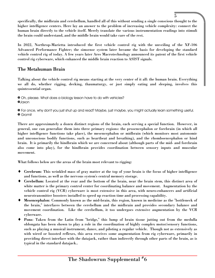specifically, the midbrain and cerebellum, handled all of this without sending a single conscious thought to the higher intelligence centers. Here lay an answer to the problem of increasing vehicle complexity: connect the human brain directly to the vehicle itself. Merely translate the various instrumentation readings into stimuli the brain could understand, and the middle brain would take care of the rest.

5

In 2022, Northrop-Marietta introduced the first vehicle control rig with the unveiling of the XF-106 Advanced Performance Fighter; the simsense system later became the basis for developing the standard vehicle control rig of today. A few years later Ares Macrotechnology announced its patent of the first vehicle control rig cyberware, which enhanced the middle brain reaction to ASIST signals.

# The Metahuman Brain

Talking about the vehicle control rig means starting at the very center of it all: the human brain. Everything we all do, whether rigging, decking, thaumaturgy, or just simply eating and sleeping, involves this quintessential organ.

» Oh, please. What does a biology lesson have to do with vehicles? »Jaxon

» For once, why don't you just shut up and read? Maybe, just maybe, you might actually learn something useful. » Gromit

There are approximately a dozen distinct regions of the brain, each serving a special function. However, in general, one can generalize them into three primary regions: the prosencephalon or forebrain (in which all higher intelligence functions take place), the mesencephalon or midbrain (which monitors most autonomic and unconscious bodily functions, such as heartbeat and breathing), and the rhomboencephalon or hind brain. It is primarily the hindbrain which we are concerned about (although parts of the mid- and forebrain also come into play), for the hindbrain provides coordination between sensory inputs and muscular movement.

What follows below are the areas of the brain most relevant to rigging:

- ♦ Cerebrum: This wrinkled mass of gray matter at the top of your brain is the focus of higher intelligence and functions, as well as the nervous system's central memory storage.
- ♦ Cerebellum: Located at the rear and the bottom of the brain, near the brain stem, this distinct area of white matter is the primary control center for coordinating balance and movement. Augmentation by the vehicle control rig (VCR) cyberware is most extensive in this area, with neuro-enhancers and artificial neurotransmitter boosters installed to speed up reaction time and processing capability.
- Mesencephalon: Commonly known as the mid-brain, this region, known in medicine as the "bottleneck of the brain," interfaces between the cerebellum and the midbrain and provides secondary balance and movement coordination. Like the cerebellum, it too undergoes extensive augmentation by the VCR cyberware.
- Pons: Taken from the Latin from "bridge," this lump of brain tissue jutting out from the medulla oblongata has been shown to play a role in the coordination of highly complex motor/sensory functions, such as playing a musical instrument, dance, and piloting a regular vehicle. Though not as extensively as with wired or boosted reflexes, this area receives some augmentation from rig cyberware, primarily in providing direct interface with the datajack, rather than indirectly through other parts of the brain, as is typical in the standard datajack..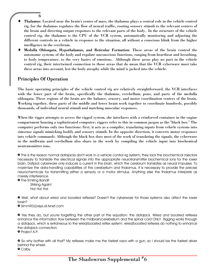- Thalamus: Located near the brain's center of mass, the thalamus plays a central role in the vehicle control rig, for the thalamus regulates the flow of neural traffic, routing sensory stimuli to the relevant centers of the brain and directing output responses to the relevant parts of the body. In the structure of the vehicle control rig, the thalamus is the CPU of the VCR system, automatically monitoring and adjusting the different controls in a vehicle in response to the situation, all without a conscious blink from the higher intelligence in the cerebrum.
- Medulla Oblongata, Hypothalamus, and Reticular Formation: These areas of the brain control the autonomic systems of the body and regulate unconscious functions, ranging from heartbeat and breathing, to body temperature, to the very basics of emotions. Although these areas play no part in the vehicle control rig, their intertwined connection to those areas that do mean that the VCR cyberware must take these areas into account, lest the body atrophy while the mind is jacked into the vehicle.

# Principles Of Operation

6

The basic operating principles of the vehicle control rig are relatively straightforward. the VCR interfaces with the lower part of the brain, specifically the thalamus, cerebellum, pons, and parts of the medulla oblongata. These regions of the brain are the balance, sensory, and motor coordination centers of the brain. Working together, these parts of the middle and lower brain work together to coordinate hundreds, possibly thousands, of individual neural stimuli and matching muscular responses.

When the rigger attempts to access the rigged system, she interfaces with a reinforced container in the engine compartment housing a sophisticated computer; riggers refer to this in common jargon as the "black box." The computer performs only two functions: first, it acts as a compiler, translating inputs from vehicle systems into simsense signals mimicking bodily and sensory stimuli. In the opposite direction, it converts motor responses into vehicle commands. Although the black box does most of the work of translating the signals, the cyberware in the midbrain and cerebellum also share in the work by compiling the vehicle input into biochemical neutransmitter ions.

» This is the reason normal datajacks don't work in a vehicle control rig system; they lack the biochemical injectors necessary to translate the electrical signals into the appropriate neurotransmitter biochemical ions for the lower brain. Datjack cyberware only induces a current in the brain, which the cerebrum translates as neural impulses. To maximize the data-handling capabilities of the cerebellum and thalamus, it is necessary to provide the precise neurochemicals for transmitting either a sensory or a motor stimulus. Anything else the thalamus interprets as merely interference.

» The Smiling Bandit Striking Again! Ha! Ha! Ha!

» Well, what about wired and boosted reflexes? Doesn't the cyberware for those systems also affect the lower brain?

» SimmR3@xsys.di.txnet.com

» Yes they do, but you're forgetting the other part of the equation: the datajack. Wired and boosted reflexes enhance the information flow between the midbrain/cerebellum and the spinal cord ONLY. Rigging works through a datajack, which is extraneous to the wired/boosted reflex system; wired/boosted reflexes do nothing to enhance the datajack connection.

» Project A.P.

» So why bother with all that? My reflexes make me the fastest razor with a gun, so I should be the fastest driver behind the wheel.

» Colby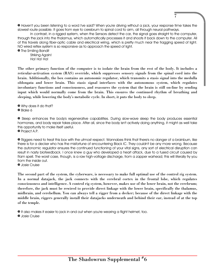» Haven't you been listening to a word I've said? When you're driving without a jack, your response time takes the slowest route possible. It goes from eye to cerebrum to spinal cord to arm, all through neural pathways.

7

In contrast, in a rigged system, when the Sensors detect the car, the signal goes straight to the computer, through the jack into the thalamus, which automatically processes it and shoots it back down to the computer. All of this travels along fiber-optic cable and electrical wiring, which is pretty much near the fragging speed of light. NO wired reflex system is so responsive as to approach the speed of light.

**•** The Smiling Bandit Striking Again!

Ha! Ha! Ha!

The other primary function of the computer is to isolate the brain from the rest of the body. It includes a reticular-activation system (RAS) override, which suppresses sensory signals from the spinal cord into the brain. Additionally, the box contains an autonomic regulator, which transmits a stasis signal into the medulla oblongata and lower brain. This stasis signal interfaces with the autonomous system, which regulates involuntary functions and consciousness, and reassures the system that the brain is still on-line by sending input which would normally come from the brain. This ensures the continued rhythm of breathing and sleeping, while lowering the body's metabolic cycle. In short, it puts the body to sleep.

» Why does it do that?

» Blake 6

» Sleep enhances the body's regenerative capabilities. During slow-wave sleep the body produces essential hormones, and body repair takes place. After all, since the body isn't actively doing anything, it might as well take this opportunity to make itself useful.

» Project A.P.

» Riggers need to treat this box with the utmost respect. Wannabes think that there's no danger of a brainburn, like there is for a decker who has the misfortune of encountering Black IC. They couldn't be any more wrong. Because the autonomic regulator ensures the continued functioning of your vital signs, any sort of electrical disruption can result in nasty biofeedback. I once knew a guy who developed a heart attack, due to a fused circuit caused by Ram spell. The worst case, though, is a raw high-voltage discharge, from a zapper warhead; this will literally fry you from the inside out.

» Josie Cruise

The second part of the system, the cyberware, is necessary to make full optimal use of the control rig system. In a normal datajack, the jack connects with the cerebral cortex in the frontal lobe, which regulates consciousness and intelligence. A control rig system, however, makes use of the lower brain, not the cerebrum; therefore, the jack must be rewired to provide direct linkage with the lower brain, specifically the thalamus, midbrain, and cerebellum. You can always tell a rigger from a decker; because of the direct linkage with the middle brain, riggers generally install their datajacks underneath and behind their ear, instead of at the top of the temple.

**• It also makes it easier to jack in and out when you're wearing a flight helmet, too.** 

» Josie Cruise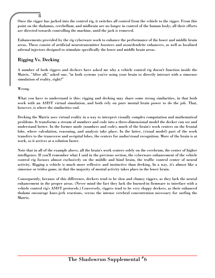Once the rigger has jacked into the control rig, it switches all control from the vehicle to the rigger. From this point on the thalamus, cerebellum, and midbrain are no longer in control of the human body; all their efforts are directed towards controlling the machine, until the jack is removed.

Enhancements provided by the rig cyberware work to enhance the performance of the lower and middle brain areas. These consist of artificial neurotransmitter boosters and axon/dendrite enhancers, as well as localized adrenal injectors designed to stimulate specifically the lower and middle brain areas.

# Rigging Vs. Decking

8

A number of both riggers and deckers have asked me why a vehicle control rig doesn't function inside the Matrix. "After all," asked one, "in both systems you're using your brain to directly interact with a simsense simulation of reality, right?"

Wrong.

What you have to understand is this: rigging and decking may share some strong similarities, in that both work with an ASIST virtual simulation, and both rely on pure mental brain power to do the job. That, however, is where the similarities end.

Decking the Matrix uses virtual reality in a way to interpret visually complex computation and mathematical problems. It transforms a stream of numbers and code into a three-dimensional model the decker can see and understand better. In the former mode (numbers and code), much of the brain's work centers on the frontal lobe, where calculation, reasoning, and analysis take place. In the latter, (visual model) part of the work transfers to the transverse and occipital lobes, the centers for audio/visual recognition. More of the brain is at work, so it arrives at a solution faster.

Note that in all of the example above, all the brain's work centers solely on the cerebrum, the center of higher intelligence. If you'll remember what I said in the previous section, the cyberware enhancement of the vehicle control rig focuses almost exclusively on the middle and hind brain, the traffic control center of neural activity. Rigging a vehicle is much more reflexive and instinctive than decking. In a way, it's almost like a simsense or trideo game, in that the majority of mental activity takes place in the lower brain.

Consequently, because of this difference, deckers tend to be slow and clumsy riggers, as they lack the neural enhancement in the proper areas. (Never mind the fact they lack the burned-in firmware to interface with a vehicle control rig's ASIST protocols.) Conversely, riggers tend to be very sloppy deckers, as their enhanced thalami encourage knee-jerk reactions, versus the intense cerebral concentration necessary for surfing the Matrix.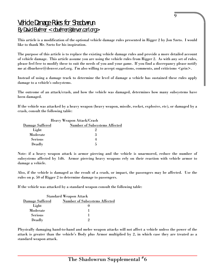# Vehicle Damage Rules for Shadowrun By David Buehrer < dbuehrer@denver.carl.org>

This article is a modification of the optional vehicle damage rules presented in Rigger 2 by Jon Szeto. I would like to thank Mr. Szeto for his inspiration.

The purpose of this article is to replace the existing vehicle damage rules and provide a more detailed account of vehicle damage. This article assume you are using the vehicle rules from Rigger 2. As with any set of rules, please feel free to modify these to suit the needs of you and your game. If you find a discrepancy please notify me at dbuehrer@denver.carl.org. I'm also willing to accept suggestions, comments, and criticisms  $\langle$ grin $\rangle$ .

Instead of using a damage track to determine the level of damage a vehicle has sustained these rules apply damage to a vehicle's subsystems.

The outcome of an attack/crash, and how the vehicle was damaged, determines how many subsystems have been damaged.

If the vehicle was attacked by a heavy weapon (heavy weapon, missile, rocket, explosive, etc), or damaged by a crash, consult the following table:

| <b>Heavy Weapon Attack/Crash</b> |                                      |  |  |  |
|----------------------------------|--------------------------------------|--|--|--|
| Damage Suffered                  | <b>Number of Subsystems Affected</b> |  |  |  |
| Light                            |                                      |  |  |  |
| Moderate                         |                                      |  |  |  |
| <b>Serious</b>                   |                                      |  |  |  |
| Deadly                           |                                      |  |  |  |

Note: if a heavy weapon attack is armor piercing and the vehicle is unarmored, reduce the number of subsystems affected by 1d6. Armor piercing heavy weapons rely on their reaction with vehicle armor to damage a vehicle.

Also, if the vehicle is damaged as the result of a crash, or impact, the passengers may be affected. Use the rules on p. 50 of Rigger 2 to determine damage to passengers.

If the vehicle was attacked by a standard weapon consult the following table:

| <b>Standard Weapon Attack</b> |                                      |  |  |  |
|-------------------------------|--------------------------------------|--|--|--|
| Damage Suffered               | <b>Number of Subsystems Affected</b> |  |  |  |
| Light                         |                                      |  |  |  |
| Moderate                      |                                      |  |  |  |
| <b>Serious</b>                |                                      |  |  |  |
| Deadly                        |                                      |  |  |  |

Physically damaging hand-to-hand and melee weapon attacks will not affect a vehicle unless the power of the attack is greater than the vehicle's Body plus Armor multiplied by 2, in which case they are treated as a standard weapon attack.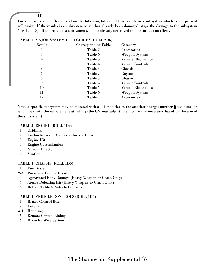For each subsystem affected roll on the following tables. If this results in a subsystem which is not present roll again. If the results is a subsystem which has already been damaged, stage the damage to the subsystem (see Table 8). If the result is a subsystem which is already destroyed then treat it as no effect.

| Result         | <b>Corresponding Table</b> | Category                   |
|----------------|----------------------------|----------------------------|
| $\overline{2}$ | Table 7                    | Accessories                |
| 3              | Table 6                    | <b>Weapon Systems</b>      |
| 4              | Table 5                    | <b>Vehicle Electronics</b> |
| 5              | Table 4                    | <b>Vehicle Controls</b>    |
| 6              | Table 3                    | Chassis                    |
|                | Table 2                    | Engine                     |
| 8              | Table 3                    | Chassis                    |
| 9              | Table 4                    | <b>Vehicle Controls</b>    |
| 10             | Table 5                    | <b>Vehicle Electronics</b> |
| 11             | Table 6                    | <b>Weapon Systems</b>      |
| 12             | Table 7                    | Accessories                |

#### TABLE 1: MAJOR SYSTEM CATEGORIES (ROLL 2D6)

Note, a specific subsystem may be targeted with  $a + 4$  modifier to the attacker's target number if the attacker is familiar with the vehicle he is attacking (the GM may adjust this modifier as necessary based on the size of the subsystem).

#### TABLE 2: ENGINE (ROLL 1D6)

- Gridlink
- Turbocharger or Superconductive Drive
- Engine Hit
- Engine Customization

- Nitrous Injector
- SunCell

#### TABLE 3: CHASSIS (ROLL 1D6)

- Fuel System
- 2-3 Passenger Compartment
- Aggravated Body Damage (Heavy Weapon or Crash Only)
- Armor Defeating Hit (Heavy Weapon or Crash Only)
- Roll on Table 4: Vehicle Controls

#### TABLE 4: VEHICLE CONTROLS (ROLL 1D6)

- Rigger Control Box
- Autonav
- 3-4 Handling
- Remote Control Linkup
- Drive-by-Wire System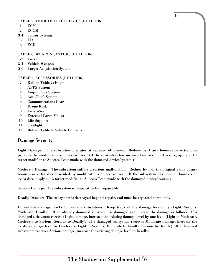#### TABLE 5: VEHICLE ELECTRONICS (ROLL 1D6)

- 1 ECM
- 2 ECCM
- 3-4 Sensor Systems
- 5 ED
- 6 ECD

#### TABLE 6: WEAPON SYSTEMS (ROLL 1D6)

- 1-2 Turret
- 3-4 Vehicle Weapon
- 5-6 Target Acquisition System

## TABLE 7: ACCESSORIES (ROLL 2D6)

- 2 Roll on Table 2: Engine
- 3 APPS System
- 4 Amphibious System
- 5 Anti-Theft System
- 6 Communications Gear
- 7 Drone Rack
- 8 EnviroSeal
- 9 External Cargo Mount
- 10 Life Support
- 11 Spotlight
- 12 Roll on Table 4: Vehicle Controls

# Damage Severity

Light Damage: The subsystem operates at reduced efficiency. Reduce by 1 any bonuses or extra dice provided by modifications or accessories. (If the subsystem has no such bonuses or extra dice, apply a  $+1$ target modifier to Success Tests made with the damaged device/system.)

11

Moderate Damage: The subsystem suffers a serious malfunction. Reduce by half the original value of any bonuses or extra dice provided by modifications or accessories. (If the subsystem has no such bonuses or extra dice, apply a +3 target modifier to Success Tests made with the damaged device/system.)

Serious Damage: The subsystem is inoperative but repairable.

Deadly Damage: The subsystem is destroyed beyond repair, and must be replaced completely.

Do not use damage tracks for vehicle subsystems. Keep track of the damage level only (Light, Serious, Moderate, Deadly). If an already damaged subsystem is damaged again, stage the damage as follows. If a damaged subsystem receives Light damage, increase the existing damage level by one level (Light to Moderate, Moderate to Serious, Serious to Deadly). If a damaged subsystem receives Moderate damage, increase the existing damage level by two levels (Light to Serious, Moderate to Deadly, Serious to Deadly). If a damaged subsystem receives Serious damage, increase the existing damage level to Deadly.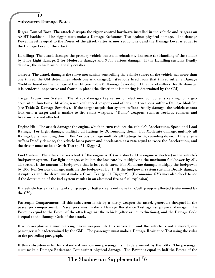# 12 Subsystem Damage Notes

Rigger Control Box: The attack disrupts the rigger control hardware installed in the vehicle and triggers an ASIST backlash. The rigger must make a Damage Resistance Test against physical damage. The damage Power Level is equal to the Power of the attack (after Armor reductions), and the Damage Level is equal to the Damage Level of the attack.

Handling: The attack damages the primary vehicle control mechanisms. Increase the Handling of the vehicle by 1 for Light damage, 2 for Moderate damage and 3 for Serious damage. If the Handling sustains Deadly damage, the vehicle automatically crashes.

Turret: The attack damages the servo-mechanism controlling the vehicle turret (if the vehicle has more than one turret, the GM determines which one is damaged). Weapons fired from that turret suffer a Damage Modifier based on the damage of the Hit (see Table 8: Damage Severity). If the turret suffers Deadly damage, it is rendered inoperative and frozen in place (the direction it is pointing is determined by the GM).

Target Acquisition System: The attack damages key sensor or electronic components relating to targetacquisition functions. Missiles, sensor-enhanced weapons and other smart weapons suffer a Damage Modifier (see Table 8: Damage Severity). If the target-acquisition system suffers Deadly damage, the vehicle cannot lock onto a target and is unable to fire smart weapons. "Dumb" weapons, such as rockets, cannons and firearms, are not affected.

Engine Hit: The attack damages the engine, which in turn reduces the vehicle's Acceleration, Speed and Load Ratings. For Light damage, multiply all Ratings by .9, rounding down. For Moderate damage, multiply all Ratings by .7, rounding down. For Serious damage multiply all Ratings by .4, rounding down. If the engine suffers Deadly damage, the vehicle loses power and decelerates at a rate equal to twice the Acceleration, and the driver must make a Crash Test (p. 51, Rigger 2).

Fuel System: The attack causes a leak (if the engine is IC) or a short (if the engine is electric) in the vehicle's fuel/power system. For light damage, calculate the loss rate by multiplying the maximum fuel/power by .01. The result is the amount of fuel/power that is lost each turn. For Moderate damage, multiply the fuel/power by .05. For Serious damage, multiply the fuel/power by .1. If the fuel/power system sustains Deadly damage, it ruptures and the driver must make a Crash Test (p. 51, Rigger 2). (Pyromaniac GMs may also check to see if the destruction of the fuel system results in an electrical fire or fuel explosion).

If a vehicle has extra fuel tanks or groups of battery cells only one tank/cell group is affected (determined by the GM).

Passenger Compartment: If this subsystem is hit by a heavy weapon the attack generates shrapnel in the passenger compartment. Passengers must make a Damage Resistance Test against physical damage. The Power is equal to the Power of the attack against the vehicle (after armor reductions), and the Damage Code is equal to the Damage Code of the attack.

If a non-explosive armor piercing heavy weapon hits this subsystem, and the vehicle is not armored, one passenger is hit (determined by the GM). The passenger must make a Damage Resistance Test using the rules in the preceding paragraph.

If this subsystem is hit by a standard weapon one passenger is hit (determined by the GM). The passenger must make a Damage Resistance Test against physical damage. The Power is equal to half the Power of the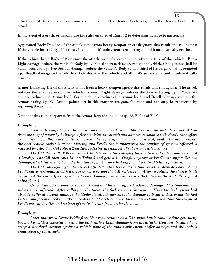attack against the vehicle (after armor reductions), and the Damage Code is equal to the Damage Code of the attack.

13

In the event of a crash, or impact, use the rules on p. 50 of Rigger 2 to determine damage to passengers.

Aggravated Body Damage (if the attack is not from heavy weapon or crash ignore this result and roll again): If the vehicle has a Body of 1 or less, it and all of it's subsystems are destroyed and it automatically crashes.

If the vehicle has a Body of 2 or more the attack seriously weakens the infrastructure of the vehicle. For a Light damage, reduce the vehicle's Body by 1. For Moderate damage, reduce the vehicle's Body to one-half its value, rounded up. For Serious damage, reduce the vehicle's Body to one-third of it's original value, rounded up. Deadly damage to the vehicle's Body destroys the vehicle and all of it's subsystems, and it automatically crashes.

Armor-Defeating Hit (if the attack is not from a heavy weapon ignore this result and roll again): The attack reduces the effectiveness of the vehicle's armor. Light damage reduces the Armor Rating by 1, Moderate damage reduces the Armor by 3, Serious damage reduces the Armor by 6, and Deadly damage reduces the Armor Rating by 10. Armor points lost in this manner are gone for good and can only be recovered by replacing the armor.

Note that this rule is separate from the Armor Degradation rules (p. 75, Fields of Fire).

#### Example 1:

*Fred is driving along in his Ford Americar when Crazy Eddie fires an anti-vehicle rocket at him from the roof of a nearby building. After resolving the attack and damage resistance rolls Fred's car suffers Serious damage. Because the attack is from a heavy weapon 4 subsystems are affected. However, because the anti-vehicle rocket is armor piercing and Fred's car is unarmored the number of systems affected is reduced by 1d6. The GM roles a 2 on 1d6, reducing the number of subsystems affected to 2.*

*The GM then rolls 2d6 on Table 1 to determine the category for the first subsystem and gets an 8 (Chassis). The GM then rolls 1d6 on Table 3 and gets a 1. The fuel system of Fred's car suffers Serious damage, which (assuming he had a full tank of gas) is now leaking fuel at a rate of 6 liters per turn.*

*The GM rolls again for the second affected subsystem and the final result is drive-by-wire. Since Fred's car is not equiped with a drive-by-wire system the GM rolls again. After re-rolling the chassis is hit again and the car suffers aggravated body damage, which reduces it's Body to one third of it's original value (3) to 1.*

*Crazy Eddie fires another rocket at Fred and his car suffers Moderate damage. This time only one subsystem is affected. After rolling on the tables the fuel system is hit again. Since the fuel system had already suffered Serious damage the Moderate attack increases the damage to Deadly, destroying the fuel system and forcing Fred to make a crash test. The GM is in a rather evil mood and rules that the engine of Fred's car catches fire and a cloud of smoke belches from under the hood.*

#### Example 2:

*Later that week Crazy Eddie fires his Ares Predator at a CAS main battle tank. Eddie gets lucky beyond his wildest expectations and the tank suffers Light damage from the attack. However, because he is using a standard weapon against a vehicle none of the tank's subsystems suffer damage and the tank is unnafected by the attack.*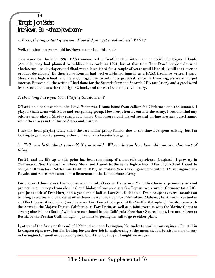## *1. First, the important question. How did you get involved with FASA?*

Well, the short answer would be, Steve got me into this.  $\leq g$ 

Two years ago, back in 1996, FASA announced at GenCon their intention to publish the Rigger 2 book. (Actually, they had planned to publish it as early as 1994, but at that time Tom Dowd stepped down as Shadowrun line developer, and Shadowrun languished for a couple of years until Mike Mulvihill took over as product developer.) By then Steve Kenson had well established himself as a FASA freelance writer. I knew Steve since high school, and he encouraged me to submit a proposal, since he knew riggers were my pet interest. Between all the writing I had done for the Scrawls from the Sprawls APA (see later), and a good word from Steve, I got to write the Rigger 2 book, and the rest is, as they say, history.

## *2. How long have you been Playing Shadowrun?*

Off and on since it came out in 1989. Whenever I came home from college for Christmas and the summer, I played Shadowrun with Steve and our gaming group. However, when I went into the Army, I couldn't find any soldiers who played Shadowrun, but I joined Compuserve and played several on-line message-based games with other users in the United States and Europe.

I haven't been playing lately since the last online group folded, due to the time I've spent writing, but I'm looking to get back to gaming, either online or in a face-to-face game.

## *3. Tell us a little about yourself, if you would. Where do you live, how old you are, that sort of thing.*

I'm 27, and my life up to this point has been something of a nomadic experience. Originally I grew up in Merrimack, New Hampshire, where Steve and I went to the same high school. After high school I went to college at Rensselaer Polytechnic Institute (RPI), in upstate New York. I graduated with a B.S. in Engineering Physics and was commissioned as a lieutenant in the United States Army.

For the next four years I served as a chemical officer in the Army. My duties focused primarily around protecting our troops from chemical and biological weapons attacks. I spent two years in Germany (at a little post just south of Frankfurt) and a year and a half at Fort Sill, Oklahoma. I've also spent several months on training exercises and courses at other bases as well, namely Fort McClellan, Alabama; Fort Knox, Kentucky; and Fort Lewis, Washington (yes, the same Fort Lewis that's part of the Seattle Metroplex). I've also gone with the Army to the Mojave Desert, California, at Fort Irwin, as well as a joint exercise with the Marine Corps at Twentynine Palms (Both of which are mentioned in the California Free State Sourcebook). I've never been to Bosnia or the Persian Gulf, though — just missed getting the call to go to either place.

I got out of the Army at the end of 1996 and came to Lexington, Kentucky to work as an engineer. I'm still in Lexington right now, but I'm looking for another job in engineering at the moment. It'd be nice for me to stay in Lexington for another couple of years, but if the job's right, I might move again.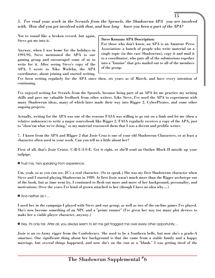*5. I've read your work in the Scrawls from the Sprawls, the Shadowrun APA you are involved with. How did you get involved with that, and how long have you been a part of the APA?*

Not to sound like a broken record, but again, Steve got me into it.

Anyway, when I was home for the holidays in 1991/92, Steve mentioned the APA to our gaming group and encouraged some of us to write for it. After seeing Steve's copy of the APA, I wrote to Niko Wieleba, the APA coordinator, about joining and started writing.

#### Steve Kensons APA Description:

For those who don't know, an APA is an Amateur Press Association: a bunch of people who write material on a single topic (in this case Shadowrun), copy it and mail it to a coordinator, who puts all of the submissions together into a "fanzine" that gets mailed out to all of the members of the group.

I've been writing regularly for the APA since then, six years as of March, and have every intention of continuing.

I've enjoyed writing for Scrawls from the Sprawls, because being part of an APA let me practice my writing skills and gave me valuable feedback from other writers. Like Steve, I've used the APA to experiment with many Shadowrun ideas, many of which later made their way into Rigger 2, CyberPirates, and some other ongoing projects.

Actually, writing for the APA was one of the reasons FASA was willing to go out on a limb and let me (then a relative unknown) to write a major sourcebook like Rigger 2. FASA regularly receives a copy of the APA, just to "show'em what we're doing," so my material reassured them that I was a decent and prolific writer.

7. I know from the APA and RIgger 2 that Josie Cruz is one of your old Shadowrun Characters, or at least a character often used in your work. Can you tell us a little about her?

First of all, that's Josie Cruise. C-R-U-I-S-E. Get it right, or she'll send an Outlaw Block II missile up your tailpipe.

» Trust me, he's speaking from experience.

Um, yeah, so as you can see, JC's a real character. (So to speak.) She was my first Shadowrun character when Steve and I started playing Shadowrun in 1989. At first Josie wasn't much more than the Rigger archetype out of the book, but as time went by, I continued to flesh out more and more of her background, personality, and motivations. Over the years I've kind of grown attached to her (though I have no idea why....)

» And neither do I....

I used her in the campaign I played with Steve and our group, as well as two of the on-line games I've played. She's now become something of an NPC and a "prime runner" (I've given her way too many plot devices to make her a viable player character, anyway.)

» Hey, it's only fair. After all, you always seem to let me get fragged me over every other opportunity....

Josie is an ex-Army rigger from the Confederacy. She used to be a Southern belle, but now she's a grade-A smartass. One significant thing about her background is that she came from a stable family and a happy marriage, but several things happened, and now she's on the run as a "blank." I was getting tired of the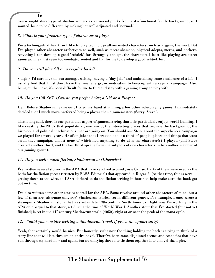overwrought stereotype of shadowrunners as antisocial punks from a dysfunctional family background, so I wanted Josie to be different, by making her well-adjusted and "normal."

# *8. What is your favorite type of character to play?*

I'm a technogeek at heart, so I like to play technologically-oriented characters, such as riggers, the most. But I've played other character archetypes as well, such as street shamans, physical adepts, mercs, and deckers. Anything I can develop a good "schtick" for. Strangely enough, the characters I least like playing are street samurai. They just seem too combat-oriented and flat for me to develop a good schtick for.

# *9. Do you still play SR on a regular basis?*

16

<sigh> I'd sure love to, but amongst writing, having a "day job," and maintaining some semblence of a life, I usually find that I just don't have the time, energy, or motivation to keep up with a regular campaign. Also, being on the move, it's been difficult for me to find and stay with a gaming group to play with.

# *10. Do you GM SR? If so, do you prefer being a GM or a Player?*

Heh. Before Shadowrun came out, I tried my hand at running a few other role-playing games. I immediately decided that I much more preferred being a player than a gamemaster. (Sorry, Steve.)

That being said, there is one particular aspect of gamemastering that I do particularly enjoy: world-building. I like creating the NPCs that populate a game world, the interesting places that provide the background, the histories and political machinations that are going on. You should ask Steve about the superheroes campaign we played for several years. He often jokes that I created about a third of people, places and things that went on in that campaign, almost none of which had anything to do with the character(s) I played (and Steve created another third, and the last third sprang from the subplots of one character run by another member of our gaming group).

# *11. Do you write much fiction, Shadowrun or Otherwise?*

I've written several stories in the APA that have revolved around Josie Cruise. Parts of them were used as the basis for the fiction pieces (written by FASA Editorial) that appeared in Rigger 2. (At that time, things were getting down to the wire, so FASA decided to do the fiction writing in-house to help make sure the book got out on time.)

I've also written some other stories as well for the APA. Some revolve around other characters of mine, but a few of them are "alternate universe" Shadowrun stories, set in different genres. For example, I once wrote a steampunk Shadowrun story that was set in late 19th-century North America. Right now I'm working in the APA on a sequel to that story, set during the time of World War I. Another story that I've started (but not yet finished) is set in the  $41<sup>st</sup>$  century Shadowrun world (4050), right at or near the peak of the mana cycle.

# *12. Would you consider writing a Shadowrun Novel, if given the opportunity?*

Yeah, that certainly would be nice. But honestly, right now the thing holding me back is trying to think of a story line that will last through an entire novel. There've been some disjointed scenes and scenarios that have run through my head now and again, but no unifying thread to tie them together into a novel-sized plot.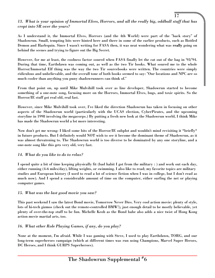# *13. What is your opinion of Immortal Elves, Horrors, and all the really big, oddball stuff that has crept into SR over the years?*

17

As I understand it, the Immortal Elves, Horrors (and the 4th World) were part of the "back story" of Shadowrun. Small, tempting bits were hinted here and there in some of the earlier products, such as Bottled Demon and Harlequin. Since I wasn't writing for FASA then, it was neat wondering what was really going on behind the scenes and trying to figure out the Big Secret.

However, for me at least, the coolness factor soured when FASA finally let the cat out of the bag in '93/'94. During that time, Earthdawn was coming out, as well as the two Tir books. What soured me to the whole Horror/Immortal Elf thing was the way the two Tir sourcebooks were written. The countries were simply ridiculous and unbelievable, and the overall tone of both books seemed to say: "Our locations and NPC are so much cooler than anything you puny shadowrunners can think of."

From that point on, up until Mike Mulvihill took over as line developer, Shadowrun started to become something of a one-note song, focusing more on the Horrors, Immortal Elves, bugs, and toxic spirits. So the Horror/IE stuff got real old, real fast.

However, since Mike Mulvihill took over, I've liked the direction Shadowrun has taken in focusing on other aspects of the Shadowrun world (particularly with the UCAS election, CyberPirates, and the upcoming storyline in 1998 involving the megacorps.) By putting a fresh new look at the Shadowrun world, I think Mike has made the Shadowrun world a lot more interesting.

Now don't get me wrong: I liked some bits of the Horror/IE subplot and wouldn't mind revisiting it \*briefly\* in future products. But I definitely would NOT wish to see it become the dominant theme of Shadowrun, as it was almost threatening to. The Shadowrun world is too diverse to be dominated by any one storyline, and a one-note song like this gets very old, very fast.

## *14. What do you like to do to relax?*

I spend quite a bit of time keeping physically fit (bad habit I got from the military : ) and work out each day, either running (4-6 miles/day), lifting weights, or swimming. I also like to read; my favorite topics are military studies and European history (I used to read a lot of science fiction when I was in college, but I don't read as much now). And I spend a considerable amount of time on the computer, either surfing the net or playing computer games.

## *15. What was the last good movie you saw?*

This past weekend I saw the latest Bond movie, Tomorrow Never Dies. Very cool action movie: plenty of style, lots of hi-tech gizmos (check out the remote-controlled BMW!), just enough detail to be mostly believable, yet plenty of over-the-top stuff to be fun. Michelle Keoh as the Bond babe also adds a nice twist of Hong Kong action movie martial arts, too.

## *16. What other Role Playing Games, if any, do you play?*

None at the moment, I'm afraid. While I was gaming with Steve, I used to play Earthdawn, TORG, and our long-term superheroes campaign (which at different times was run using Champions, Marvel Super Heroes, DC Heroes, and I think GURPS Superheroes).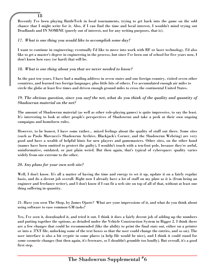Recently I've been playing BattleTech in local tournaments, trying to get back into the game on the odd chance that I might write for it. Also, if I can find the time and local interest, I wouldn't mind trying out Deadlands and IN NOMINE (purely out of interest, not for any writing purposes, that is).

## *17. What is one thing you would like to accomplish some day?*

18

I want to continue in engineering; eventually I'd like to move into work with RF or laser technology. I'd also like to get a master's degree in engineering in the process, but since I've been out of school for five years now, I don't know how easy (or hard) that will be.

## *18. What is one thing about you that we never needed to know?*

In the past ten years, I have had a mailing address in seven states and one foreign country, visited seven other countries, and learned two foreign languages, plus little bits of others. I've accumulated enough air miles to circle the globe at least five times and driven enough ground miles to cross the continental United States.

## *19. The obvious question, since you surf the net, what do you think of the quality and quantity of Shadowrun material on the net?*

The amount of Shadowrun material (as well as other role-playing games) is quite impressive, to say the least. It's interesting to look at other people's perspectives of Shadowrun and take a peek at their own ongoing campaigns and homebrew rules.

However, to be honest, I have some rather... mixed feelings about the quality of stuff out there. Some sites (such as Paolo Marcucci's Shadowrun Archive, Blackjack's Corner, and the Shadowrun Webring) are very good and have a wealth of helpful hints for new players and gamemasters. Other sites, on the other hand (names have been omitted to protect the guilty), I wouldn't touch with a ten-foot pole, because they're awful, uninformative, outdated, or just plain weird. But then again, that's typical of cyberspace: quality varies widely from one extreme to the other.

## *20. Any plans for your own web site?*

Well, I don't know. It's all a matter of having the time and energy to set it up, update it on a fairly regular basis, and do a decent job overall. Right now I already have a lot of stuff on my plate as it is (from being an engineer and freelance writer), and I don't know if I can fit a web site on top of all of that, without at least one thing suffering in quantity.

21. Have you seen The Shop, by James Ojaste? What are your impressions of it, and what do you think about using software to ease common GM tasks?

Yes, I've seen it, downloaded it, and tried it out. I think it does a fairly decent job of adding up the numbers and putting together the options, as detailed under the Vehicle Construction System in Rigger 2. I think there are a few changes that could be recommended (like the ability to print the final stats out, either on a printer or into a .TXT file, unlocking some of the text boxes so that the user could change the entries, and so on). The user interface is also a bit cryptic in some places (a help file would be nice), and I think it could stand for some cosmetic changes (but then again, it's freeware, so I shouldn't grumble too loudly). But overall, it's a good first step.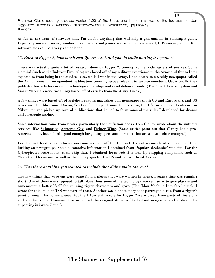» James Ojaste recently released Version 1.20 of The Shop, and it contains most of the features that Jon suggested. It can be downloaded at http://www.csclub.uwaterloo.ca/~jojaste/SRII/ » Adam

As far as the issue of software aids, I'm all for anything that will help a gamemaster in running a game. Especially since a growing number of campaigns and games are being run via e-mail, BBS messaging, or IRC, software aids can be a very valuable tool.

## *22. Back to Rigger 2, how much real life research did you do while putting it together?*

There was actually quite a bit of research done on Rigger 2, coming from a wide variety of sources. Some material (such as the Indirect Fire rules) was based off of my military experience in the Army and things I was exposed to from being in the service. Also, while I was in the Army, I had access to a weekly newspaper called the Army Times, an independent publication covering issues relevant to service members. Occasionally they publish a few articles covering technological developments and defense trends. (The Smart Armor System and Smart Materials were two things based off of articles from the Army Times.)

A few things were based off of articles I read in magazines and newspapers (both US and European), and US government publications. During GenCon '96, I spent some time visiting the US Government bookstore in Milwaukee and picked up several publications that helped to form some of the rules I developed for drones and electronic warfare.

Some information came from books, particularly the nonfiction books Tom Clancy wrote about the military services, like Submarine, Armored Cay, and Fighter Wing. (Some critics point out that Clancy has a pro-American bias, but he's still good enough for getting specs and numbers that are at least "close enough.")

Last but not least, some information came straight off the Internet. I spent a considerable amount of time lurking on newsgroups. Some automotive information I obtained from Popular Mechanics' web site. For the Cyberpirates sourcebook, some ship data I obtained from web sites run by shipping companies, such as Maersk and Kvaerner, as well as the home pages for the US and British Royal Navies.

## *23. Was there anything you wanted to include that didn't make the cut?*

The few things that were cut were some fiction pieces that were written in-house, because time was running short. One of them was supposed to talk about how some of the technology worked, so as to give players and gamemaster a better "feel" for running rigger characters and gear. (The "Man-Machine Interface" article I wrote for this issue of TSS was part of that). Another was a short story that portrayed a run from a rigger's point-of-view. The fiction pieces that the FASA staff wrote for Rigger 2 were based from parts of this story and another story. However, I've submitted the original story to Shadowland magazine, and it should be appearing in issues 7 and 8.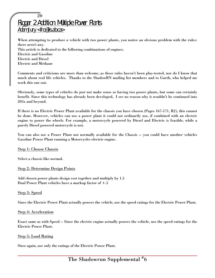# 20 Rigger 2 Addition: Multiple Power Plants Adam Jury <fro@lis.ab.ca>

When attempting to produce a vehicle with two power plants, you notice an obvious problem with the rules: there aren't any. This article is dedicated to the following combinations of engines: Electric and Gasoline

Electric and Diesel Electric and Methane

Comments and criticisms are more than welcome, as these rules haven't been play-tested, nor do I know that much about real life vehicles. Thanks to the ShadowRN mailing list members and to Gurth, who helped me work this one out.

Obviously, some types of vehicles do just not make sense as having two power plants, but some can certainly benefit. Since this technology has already been developed, I see no reason why it wouldn't be continued into 205x and beyond.

If there is no Electric Power Plant available for the chassis you have chosen (Pages 167-171, R2), this cannot be done. However, vehicles can use a power plant it could not ordinarily use, if combined with an electric engine to power the wheels. For example, a motorcycle powered by Diesel and Electric is feasible, while a purely Diesel powered motorcycle is not.

You can also use a Power Plant not normally available for the Chassis -- you could have another vehicles Gasoline Power Plant running a Motorcycles electric engine.

Step 1: Choose Chassis

Select a chassis like normal.

#### Step 2: Determine Design Points

Add chosen power plants design cost together and multiply by 1.5 Dual Power Plant vehicles have a markup factor of +.5

#### Step 3: Speed

Since the Electric Power Plant actually powers the vehicle, use the speed ratings for the Electric Power Plant.

#### Step 4: Acceleration

Exact same as with Speed -- Since the electric engine actually powers the vehicle, use the speed ratings for the Electric Power Plant.

#### Step 5: Load Rating

Once again, use only the ratings of the Electric Power Plant.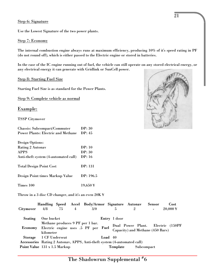#### Step 6: Signature

Use the Lowest Signature of the two power plants.

#### Step 7: Economy

The internal combustion engine always runs at maximum efficiency, producing 10% of it's speed rating in PF (do not round off), which is either passed to the Electric engine or stored in batteries.

In the case of the IC engine running out of fuel, the vehicle can still operate on any stored electrical energy, or any electrical energy it can generate with Gridlink or SunCell power.

#### Step 8: Starting Fuel Size

Starting Fuel Size is as standard for the Power Plants.

Step 9: Complete vehicle as normal

## Example:

TSSP Citymover

| Chassis: Subcompact/Commuter              | DP: 30               |
|-------------------------------------------|----------------------|
| <b>Power Plants: Electric and Methane</b> | DP: 45               |
|                                           |                      |
| <b>Design Options:</b>                    |                      |
| <b>Rating 2 Autonav</b>                   | DP: 10               |
| <b>APPS</b>                               | DP: 30               |
| Anti-theft system (4-automated call)      | DP: 16               |
| <b>Total Design Point Cost</b>            | <b>DP</b> : 131      |
| Design Point times Markup Value           | DP: 196.5            |
| Times 100                                 | $19.650\,\mathrm{F}$ |

Throw in a 3 disc CD changer, and it's an even 20K ¥

|                              |                        |    |                | Handling Speed Accel Body/Armor Signature Autonav                        |         |              |                                  | Sensor         | Cost                              |
|------------------------------|------------------------|----|----------------|--------------------------------------------------------------------------|---------|--------------|----------------------------------|----------------|-----------------------------------|
| Citymover                    | 4/8                    | 75 | $\overline{4}$ | 3/0                                                                      |         | 5            | $\overline{2}$                   | $\blacksquare$ | $20,000 \frac{1}{3}$              |
| Seating                      | One bucket             |    |                |                                                                          |         | Entry 1 door |                                  |                |                                   |
| <b>Economy</b>               | kilometer              |    |                | Methane produces 9 PF per 1 bar.<br>Electric engine uses .5 PF per Fuel  |         |              | Capacity) and Methane (450 Bars) |                | Dual Power Plant. Electric (150PF |
|                              | Storage 1 CF Underseat |    |                |                                                                          | Load 40 |              |                                  |                |                                   |
|                              |                        |    |                | Accessories Rating 2 Autonav, APPS, Anti-theft system (4-automated call) |         |              |                                  |                |                                   |
| Point Value 131 x 1.5 Markup |                        |    |                |                                                                          |         | Template     |                                  | Subcompact     |                                   |

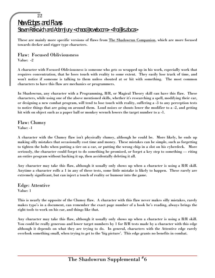These are mainly more specific versions of flaws from The Shadowrun Companion, which are more focused towards decker and rigger type characters.

## Flaw: Focused Obliviousness Value: -2

A character with Focused Obliviousness is someone who gets so wrapped up in his work, especially work that requires concentration, that he loses touch with reality to some extent. They easily lose track of time, and won't notice if someone is talking to them unless shouted at or hit with something. The most common characters to have this flaw are mechanics or programmers.

In Shadowrun, any character with a Programming, B/R, or Magical Theory skill can have this flaw. These characters, while using one of the above mentioned skills, whether it's researching a spell, modifying their car, or designing a new combat program, will tend to lose touch with reality, suffering a -3 to any perception tests to notice things that are going on around them. Loud noises or shouts lower the modifier to a -2, and getting hit with on object such as a paper ball or monkey wrench lowers the target number to a -1.

Flaw: Clumsy Value: -1

A character with the Clumsy flaw isn't physically clumsy, although he could be. More likely, he ends up making silly mistakes that occasionally cost time and money. These mistakes can be simple, such as forgetting to tighten the bolts when putting a tire on a car, or putting the wrong chip in a slot on his cyberdeck. More seriously, the character could forget to do something he promised, or forget a key step to something — riting an entire program without backing it up, then accidentally deleting it all.

Any character may take this flaw, although it usually only shows up when a character is using a B/R skill. Anytime a character rolls a 1 in any of these tests, some little mistake is likely to happen. These rarely are extremely significant, but can inject a touch of reality or humour into the game.

Edge: Attentive Value: 1

This is nearly the opposite of the Clumsy flaw. A character with this flaw never makes silly mistakes, rarely makes typo's in a document, can remember the exact page number of a book he's reading, always brings the right tools to work on his car, and things like that.

Any character may take this flaw, although it usually only shows up when a character is using a B/R skill. You could be really generous and lower target numbers by 1 for B/R tests made by a character with this edge although it depends on what they are trying to do. In general, characters with the Attentive edge rarely overlook something small, when trying to get to the 'big picture'. This edge grants no benefits in combat.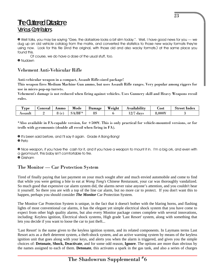# The Cluttered Datastore Various Contributors

» Well folks, you may be saying "Gee, the datastore looks a bit slim today.". Well, I have good news for you — we dug up an old vehicle catalog from the matrix, and converted the statistics to those new wacky formats they're using now. Look for this file (And the original, with those old and also wacky formats.) at the same place you found this.

Of course, we do have a dose of the usual stuff, too.

» Nudawn

# Vehement Anti-Vehicular Rifle

Anti-vehicular weapon in a compact, Assault Rifle-sized package!

This weapon fires Medium Machine Gun ammo, but uses Assault Rifle ranges. Very popular among riggers for use in micro pop-up turrets.

Vehement's damage is not reduced when firing against vehicles. Uses Gunnery skill and Heavy Weapons recoil rules.

| <b>CEO</b><br><b>vpe</b> | <b>uonceal</b> | Ammo     | Mode | Damage   | Weight | \vaılabılıtv       | ⊿ost      | Street<br>-Index |
|--------------------------|----------------|----------|------|----------|--------|--------------------|-----------|------------------|
| Assault                  |                | t c<br>ິ | /BF* | о¢<br>οc |        | $\sqrt{7}$<br>days | $8,000$ ¥ |                  |

\*Also available in FA-capable version, for +500¥. This is only practical for vehicle-mounted versions, or for trolls with gyromounts (double all recoil when firing in FA).

» It's been said before, and I'll say it again. Grade A Bang-Bang!

» Peto

» Nice weapon, if you have the cash for it, and if you have a weapon to mount it in. I'm a big ork, and even with a gyromount, this baby isn't comfortable to fire.

» Grisham

# The Monitor — Car Protection System

Tired of finally paying that last payment on your much sought after and much envied automobile and come to find that while you were getting a bite to eat at *Wong Tong's* Chinese Resturaunt, your car was thoroughly vandalized. So much good that expensive car alarm system did, the alarms never raise anyone's attention, and you couldn't hear it yourself. So there you are with a top of the line car alarm, but no more car to protect. If you don't want this to happen, perhaps you should consider *The Monitor* Car Protection System.

The Monitor Car Protection System is unique, in the fact that it doesn't bother with the blaring horns, and flashing lights of most conventional car alarms, it has the elegant yet simple electrical shock system that you have come to expect from other high quality alarms, but also every Monitor package comes complete with several innovations, including: Keyless ignition, Electrical shock systems, High grade 'Last Resort' system, along with something that lets you decide if you want to loose the car to just theft...

'Last Resort' is the name given to the keyless ignition system, and its related components. In Laymans terms Last Resort acts as a theft deterrent system, a theft-shock system, and an active warning system by means of the keyless ignition unit that goes along with your keys, and alerts you when the alarm is triggered, and gives you the simple choices of: **Detonate, Shock, Deactivate**, and for some odd reason, **Ignore**. The options are more than obvious by the names assigned to each of them. **Detonate**, this activates a spark in the gas tank, and also a series of charges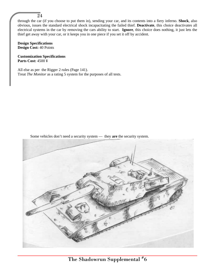#### $\overline{2}4$

through the car (if you choose to put them in), sending your car, and its contents into a fiery inferno. **Shock**, also obvious, issues the standard electrical shock incapacitating the failed thief. **Deactivate**, this choice deactivates all electrical systems in the car by removing the cars ability to start. **Ignore**, this choice does nothing, it just lets the thief get away with your car, or it keeps you in one piece if you set it off by accident.

#### **Design Specifications Design Cost:** 40 Points

**Customization Specifications Parts Cost:** 4500 ¥

All else as per the Rigger 2 rules (Page 141). Treat *The Monitor* as a rating 5 system for the purposes of all tests.

Some vehicles don't need a security system — they **are** the security system.

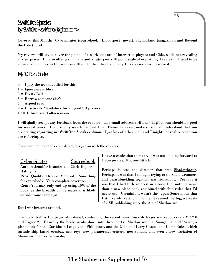# SwiftOne Speaks by SwiftOne <swiftone@bigfoot.com>

Covered this Month: Cyberpirates (sourcebook), Bloodsport (novel), Shadowland (magazine), and Beyond the Pale (novel)

My reviews will try to cover the points of a work that are of interest to players and GMs, while not revealing any surprises. I'll also offer a summary and a rating on a 10 point scale of everything I review. I tend to be a cynic, so don't expect to see many 10's. On the other hand, any 10's you see must deserve it.

# My 10 Point Scale

 $0 = I$  pity the tree that died for this  $1 = \text{Ignorance}$  is bliss 3 = Pretty Bad 5 = Borrow someone else's  $7 = A$  good read 9 = Practically Mandatory for all good SR players 10 = Gibson and Tolkien in one

I will gladly accept any feedback from the readers. The email address swiftone@bigfoot.com should be good for several years. If not, simply search for SwiftOne. Please, however, make sure I can understand that you are writing regarding my SwiftOne Speaks column. I get lots of other mail and I might not realize what you are referring to.

These mundane details completed, lets get on with the reviews

| <b>Cyperpirates</b>                               | Sourcebook |
|---------------------------------------------------|------------|
| <b>Author: Jennifer Brandes and Chris Hepler</b>  |            |
| Rating: 7                                         |            |
| <b>Pros: Quality, Diverse Material. Something</b> |            |
| for everybody. Very complete coverage.            |            |

Cons: You may only end up using 10% of the book, as the breadth of the material is likely outside your campaign.

I have a confession to make. I was not looking forward to Cyberpirates. Not one little bit.

Perhaps it was the disaster that was Shadowboxer. Perhaps it was that I thought trying to tie Shadowrunners and Swashbuckling together was ridiculous. Perhaps it was that I had little interest in a book that nothing more than a new place book combined with ship rules that I'd never use. Certainly it wasn't the Japan Sourcebook that I still vainly wait for. To me, it seemed the biggest waste of a SR publishing since the Art of Shadowrun.

But I was brought around.

The book itself is 182 pages of material, continuing the recent trend towards larger sourcebooks (ala VR 2.0 and Rigger 2). Basically the book breaks down into three parts: Shadowrunning, Smuggling, and Piracy, a place book for the Caribbean League, the Phillipines, and the Gold and Ivory Coasts, and Game Rules, which include ship based combat, new toys, new paranormal critters, new totems, and even a new variation of Shamanism: ancestor worship.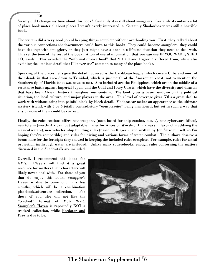So why did I change my tune about this book? Certainly it is still about smugglers. Certainly it contains a lot of place book material about places I wasn't overly interested it. Certainly Shadowboxer was still a horrible book.

The writers did a very good job of keeping things complete without overloading you. First, they talked about the various connections shadowrunners could have to this book: They could become smugglers, they could have dealings with smugglers, or they just might have a once-in-a-lifetime situation they need to deal with. This set the tone of the rest of the book: A ton of useful information that you can use IF YOU WANT/NEED TO, easily. This avoided the "information-overload" that VR 2.0 and Rigger 2 suffered from, while also avoiding the "tedious detail that I'll never use" common to many of the place books.

Speaking of the places, let's give the detail: covered is the Caribbean league, which covers Cuba and most of the islands in that area down to Trinidad, which is just north of the Amazonian coast, not to mention the Southern tip of Florida (that was news to me). Also included are the Philippines, which are in the middle of a resistance battle against Imperial Japan, and the Gold and Ivory Coasts, which have the diversity and disaster that have been African history throughout our century. The book gives a basic rundown on the political situation, the local culture, and major players in the area. This level of coverage gives GM's a great deal to work with without going into painful block-by-block detail. Madagascar makes an appearance as the ultimate mystery island, with 5 or 6 totally contradictory "conspiracies" being mentioned, but set in such a way that any or none of them could be correct.

Finally, the rules sections offers new weapons, (most based for ship combat, but…), new cyberware (ditto), new totems (mostly African, but adaptable), rules for Ancestor Worship (I'm always in favor of muddying the magical waters), new vehicles, ship building rules (based on Rigger 2, and written by Jon Setzo himself, so I'm hoping they're compatible) and rules for diving and various forms of water combat. The authors deserve a bonus here for the foresight they showed in keeping the included rules complete. For example, rules for astral projection in/through water are included. Unlike many sourcebooks, enough rules concerning the matters discussed in the Shadowtalk are included.

Overall, I recommend this book for GM's. Players will find it a great resource for matters their characters will likely never deal with. For those of you that do enjoy this book, Smuggler's Haven is due to come out in a few months, which will be a combination placebook/adventure collection. For those of you who did not like the "tracked" format of Mob War!, Smuggler's Haven is reportedly NOT a tracked collection, while Predator and Prey is due to be.

26

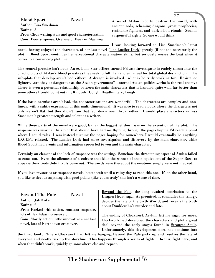Blood Sport Novel Author: Lisa Smedman Rating: 5 Pros: Clear writing style and good characterization. Cons: Poor suspense, Overuse of Deux ex Machina

A secret Atzlan plot to destroy the world, with ancient gods, scheming dragons, great prophecies, resistance fighters, and dark blood rituals. Sounds suspenseful right? So one would think.

27

I was looking forward to Lisa Smedman's latest novel, having enjoyed the characters of her last novel (The Lucifer Deck) greatly (if not the necessarily the plot). Blood Sport continues her exceptional characterization skills, but seriously misses the beat when it comes to a convincing plot line.

The central premise isn't bad: An ex-Lone Star officer turned Private Investigator is rudely thrust into the chaotic plots of Atzlan's blood priests as they seek to fulfill an ancient ritual for total global destruction. The sub-plots that develop aren't bad either: A dragon is involved…what is he truly working for. Resistance fighters…are they as dangerous as the Atzlan government? Internal Atzlan politics…who is the real enemy? There is even a potential relationship between the main characters that is handled quite well, far better than some others I could point out in SR novels (Cough, Headhunters, Cough).

If the basic premises aren't bad, the characterizations are wonderful. The characters are complex and nonlinear, with a subtle expression of this multi-dimensional. It was nice to read a book where the characters not only weren't flat, but they didn't ram that fact down your throat either. I would place characters as Lisa Smedman's greatest strength and talent as a writer.

While these parts of the novel were good, by far the biggest let down was on the execution of the plot. The suspense was missing. In a plot that should have had me flipping through the pages hoping I'd reach a point where I could relax, I was instead turning the pages hoping for somewhere I would eventually be anything EXCEPT relaxed. The Lucifer Deck had more investigation and discovery by the main character, while Blood Sport had events and information spoon fed to you and the main character.

Certainly an element of the lack of suspense was the setting. Somehow the threatening aspect of Atzlan failed to come out. Even the alienness of a culture that kills the winner of their equivalent of the Super Bowl to appease their Gods didn't truly come out. The words were there, but the emotions simply were not invoked.

If you love mysteries or suspense novels, better wait until a rainy day to read this one. If, on the other hand, you like to devour anything with good points (like yours truly) this isn't a waste of time.

| <b>Beyond The Pale</b><br><b>Novel</b>            |  |
|---------------------------------------------------|--|
| <b>Author: Jak Koke</b>                           |  |
| Rating: 6                                         |  |
| Pros: Packed with action, constant suspense,      |  |
| lots of Earthdawn crossover.                      |  |
| Cons: Mostly action, little innovative since last |  |
| novel, lots of Earthdawn crossover.               |  |

Beyond the Pale, the long awaited conclusion to the Dragon Heart saga. As promised, it concludes the trilogy, decides the fate of the Sixth World, and reveals the truth about Dunklezahn's murder and fate.

The ending of Clockwork Asylum left me eager for more. Clockwork had developed the characters and plot a great deal beyond the early stages found in Stranger Souls. Unfortunately, this development does not continue into

the third book. Where Clockwork had left me hanging, Beyond the Pale picks up and resolves the fate of everyone and neatly ties up the storyline. This happens through a series of fights. Do this, fight here, and when that didn't work, quickly go somewhere else and repeat.

The Shadowrun Supplemental  $^{\#}6$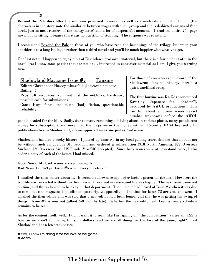Beyond the Pale does offer the solutions promised, however, as well as a moderate amount of humor (the characters in the story note the similarity between mages with their group and the red-shirted ensigns of Star Trek, just as most readers of the trilogy have) and a lot of suspenseful moments. I read the entire 260 page novel in one sitting, because there was no question of stopping. The suspense was constant.

I recommend Beyond the Pale to those of you who have read the beginnings of the trilogy, but warn you: consider it as a long Epilogue rather than a third novel and you'll be much happier with what you get.

One last note: I happen to enjoy a bit of Earthdawn crossover material, but there is a fair amount of it in the novel. As I know some parties that are not as … interested in crossover material as I am, I give you warning now.

| Shadowland Magazine Issue #7 Fanzine                                               |
|------------------------------------------------------------------------------------|
| Editor: Christopher Hussey <hussfolk@discover-net.net></hussfolk@discover-net.net> |
| Rating: 5                                                                          |
| Pros: SR resources from not just the net.folks, hardcopy,                          |
| possible cash for submissions                                                      |
| Cons: Huge fonts, too much (bad) fiction, questionable                             |
| reliability.                                                                       |

28

For those of you who are unaware of the Shadowrun fanzine history, here's a quick unofficial recap:

The first fanzine was Ka-Ge (pronounced Kaw-Gay, Japanese for "shadow"), produced by AWOL productions. This ran for about a dozen issues (exact number unknown) before the AWOL

people headed for the hills. Sadly, due to many remaining ads lying about in various places, many people sent money for subscriptions, and never had the magazine or the money return. Recently, FASA licensed SOK publications to run Shadowland, a fan-supported magazine just as Ka-Ge was.

Shadowland has had a rocky history. I picked up issue #4 in my local gaming store, decided that I could not be without such an obvious SR product, and ordered a subscription (\$18 North America, \$22 Overseas Surface, \$30 Overseas Air. US Funds, Visa/MC accepted). Since back issues were at newsstand price, I also order a copy of each of the issues I had missed.

Good News: My back issues arrived promptly. Bad News: I didn't get Issue #5 when everyone else did.

I emailed the then-editor about it. It seemed somewhere my order hadn't gotten on the list. However, the trouble was corrected without further hassle. I received my issue and life was happy. The next issue came out on time, and things looked to be okay in that department. Then no one had heard of Issue #7 when it was due to come out (the magazine is published quarterly…supposedly). The time for Issue #8 arrived, and went. I emailed the then-editor and was told that a new editor had been found, and that he was getting the swing of things. Issue #7 is now out (albeit 6-8 months late). Whether the new editor will keep a timely schedule remains to be seen.

As for the content itself, well…I don't want it to seem like I'm ripping on "the competition" (after all, TSS is free, so we aren't competing for your dollars, and we are all doing for the love of the game, right?) but Shadowland has a few weaknesses.

» Well, I know **I'm doing it for the love of the game.. » Adam**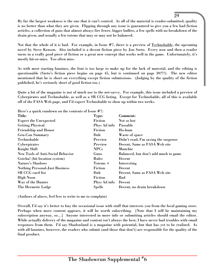By far the largest weakness is the one that it can't control. As all of the material is reader-submitted, quality is no better than what they are given. Flipping through any issue is guaranteed to give you a few bad fiction articles, a collection of guns that almost always fire fewer, bigger bullets, a few spells with no breakdown of the drain given, and usually a few totems that may or may not be balanced.

29

Not that the whole of it is bad. For example, in Issue #7, there is a preview of Technobable, the upcoming novel by Steve Kenson. Also included is a decent fiction piece by Jon Szeto. Every now and then a reader turns in a really good piece of fiction or a great new concept that works well in the game. Unfortunately, it's mostly hit-or-miss. Too often miss.

As with most starting fanzines, the font is too large to make up for the lack of material, and the editing is questionable (Szeto's fiction piece begins on page 45, but is continued on page 30?!?). The new editor mentioned that he is short on everything except fiction submissions. (Judging by the quality of the fiction published, he's seriously short of good fiction too.)

Quite a bit of the magazine is not of much use to the net-savvy. For example, this issue included a preview of Cyberpirates and Technobable, as well as a SR CCG listing. Except for Technobable, all of this is available off of the FASA Web page, and I'd expect Technobable to show up within two weeks.

Here's a quick rundown on the contents of Issue  $#7$ .

| $\frac{1}{2}$ . There is a distribution of the contents of 1550e matrix |               |                                      |
|-------------------------------------------------------------------------|---------------|--------------------------------------|
| Title:                                                                  | Type:         | Comment:                             |
| <b>Expect the Unexpected</b>                                            | Fiction       | Not so hot                           |
| <b>Getting Physical</b>                                                 | Phys Ad info  | Passable                             |
| <b>Friendship and Honor</b>                                             | Fiction       | Ho-hum                               |
| <b>Gen-Con Summary</b>                                                  | Duh           | Waste of space                       |
| Technobable                                                             | Preview       | Didn't read, I'm saving the suspense |
| Cyberpirates                                                            | Preview       | Decent, Same as FASA Web site        |
| <b>Knight Shift</b>                                                     | <b>NPCs</b>   | Munchie                              |
| <b>New Tools of Anti-Social Behavior</b>                                | Guns          | Balanced, but don't add much to game |
| Gotcha! (hit location system)                                           | <b>Rules</b>  | Decent                               |
| Nature's Shadows                                                        | Totems +      | Interesting                          |
| <b>Nothing Personal-Just Business</b>                                   | Fiction       | Decent                               |
| SR CCG card list                                                        | Duh           | Decent, Same as FASA Web site        |
| <b>High Noon</b>                                                        | Fiction       | Bad                                  |
| Way of the Hunter                                                       | Phys Ad info  | Decent                               |
| The Hermetic Lodge                                                      | <b>Spells</b> | Decent, no drain breakdown           |
|                                                                         |               |                                      |

(Authors of above, feel free to write to me to complain)

Overall, I'd say it's better to buy the occasional issue with stuff that interests you from the local gaming store. Perhaps when more content appears, it will be worth subscribing. [Note that I will be maintaining my subscription anyway, so…] Anyone interested in more info or submitting articles should email the editor. While actually delivery of the magazine and content isn't always the best, I have never had troubles with email responses from them. I'd say Shadowland is a magazine with potential, but that has yet to be realized. As with all fanzines, however, the readers who submit (and those that don't) are responsible for the quality of the final product.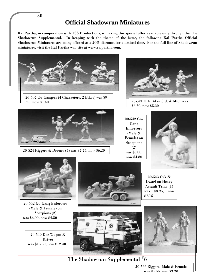**Official Shadowrun Miniatures**

Ral Partha, in co-operation with TSS Productions, is making this special offer available only through the The Shadowrun Supplemental. In keeping with the theme of the issue, the following Ral Partha Official Shadowrun Miniatures are being offered at a 20% discount for a limited time. For the full line of Shadowrun miniatures, visit the Ral Partha web site at www.ralpartha.com.



The Shadowrun Supplemental  $^{\#}6$ 

20-566 Riggers- Male & Female was \$4.00, now \$2.20

30